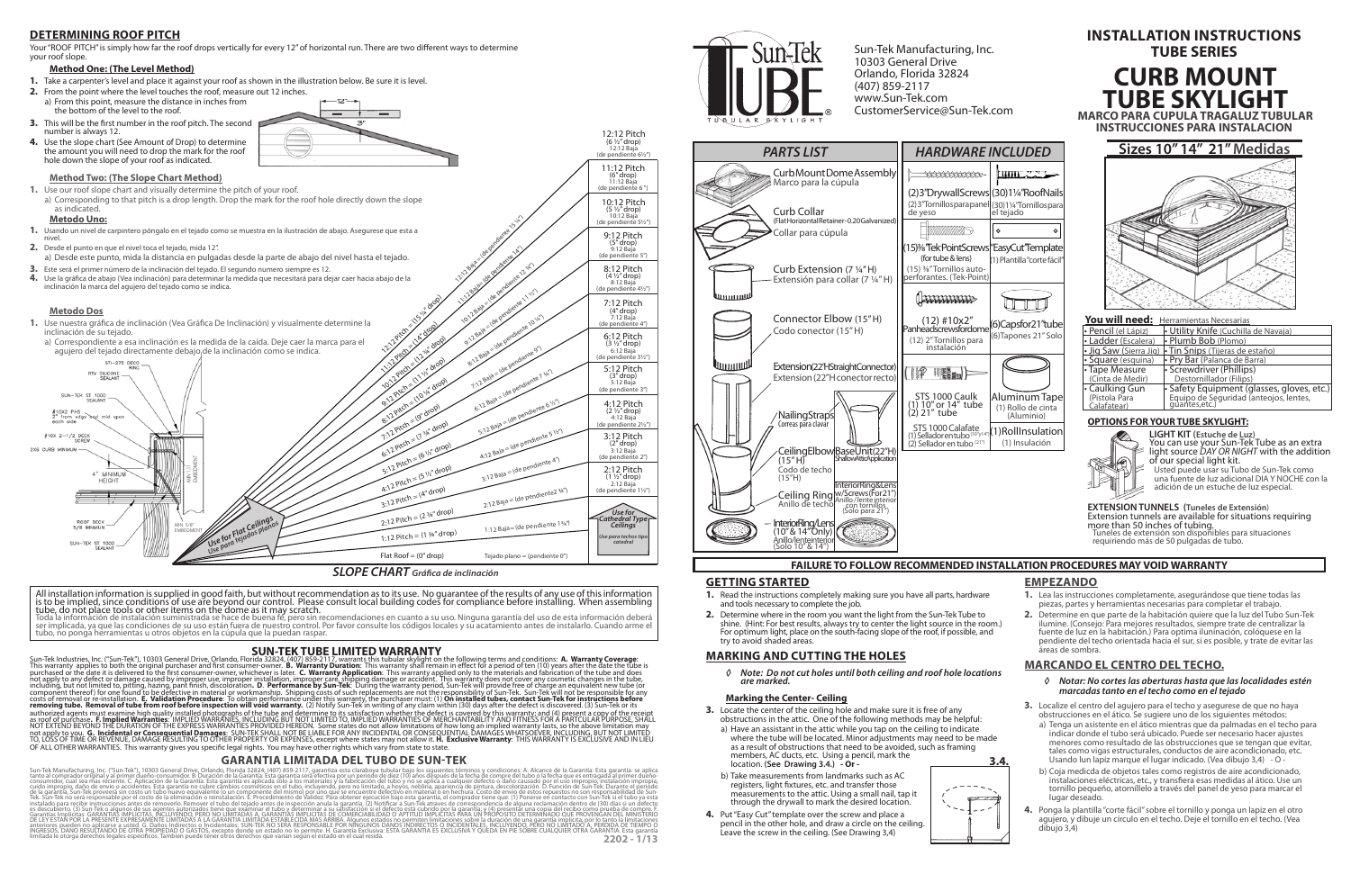### **GETTING STARTED**

- **1.** Read the instructions completely making sure you have all parts, hardware and tools necessary to complete the job.
- **2.** Determine where in the room you want the light from the Sun-Tek Tube to shine. (Hint: For best results, always try to center the light source in the room.) For optimum light, place on the south-facing slope of the roof, if possible, and try to avoid shaded areas.

### **MARKING AND CUTTING THE HOLES**

*◊ Note: Do not cut holes until both ceiling and roof hole locations are marked.* 

### **Marking the Center- Ceiling**

**2202 - 1/13** Sun-Tek Manufacturing, Inc. ("Sun-Tek"), 10303 General Drive, Orlando, Florida 32824, (407) 85-2117, granniza esta classe and periodo de diez (10) años después de la fecha de compredel tubo o la fecha que es entragada al p es descubierto. (3) Sun-Tek o algunos de sus agentes autorizados tiene que exáminar el tubo y determinar a su satisfacción si el defecto está cubrido por la garantía; y (4) presentár una copia del recibo como prúeba de com DE LEY ESTAN POR LA PRESENTE EXPRESAMÉNTE LIMITADAS A LA GARANTIA LIMITADA DE POR DENSIGNADES DE PRODUCTO DE DE<br>Anteriores pueden no aplicarse a usted. G. Daños Indirectos o Incidentales: SUN-TEK NO SERA RESPONSABLE POR NI



- **1.** Lea las instrucciones completamente, asegurándose que tiene todas las piezas, partes y herramientas necesarias para completar el trabajo.
- **2.** Determine en que parte de la habitación quiere que la luz del Tubo Sun-Tek ilumine. (Consejo: Para mejores resultados, siempre trate de centralizar la fuente de luz en la habitación.) Para optima iluninación, colóquese en la pendiente del techo orientada hacia el sur, si es posible, y trate de evitar las .<br>áreas de sombra

- **3.** Locate the center of the ceiling hole and make sure it is free of any obstructions in the attic. One of the following methods may be helpful:
	- a) Have an assistant in the attic while you tap on the ceiling to indicate where the tube will be located. Minor adjustments may need to be made as a result of obstructions that need to be avoided, such as framing members, AC ducts, etc. Using a pencil, mark the location. **(See Drawing 3.4.) - Or -**
	- b) Take measurements from landmarks such as AC registers, light fixtures, etc. and transfer those measurements to the attic. Using a small nail, tap it through the drywall to mark the desired location.
- **4.** Put "Easy Cut" template over the screw and place a pencil in the other hole, and draw a circle on the ceiling. Leave the screw in the ceiling. (See Drawing 3,4)

## **FAILURE TO FOLLOW RECOMMENDED INSTALLATION PROCEDURES MAY VOID WARRANTY**





**TUBE SKYLIGHT MARCO PARA CUPULA TRAGALUZ TUBULAR**

### **EMPEZANDO**

# **MARCANDO EL CENTRO DEL TECHO.**

- *◊ Notar: No cortes las aberturas hasta que las localidades estén marcadas tanto en el techo como en el tejado*
- **3.** Localize el centro del agujero para el techo y asegurese de que no haya obstrucciones en el ático. Se sugiere uno de los siguientes métodos:
	- a) Tenga un asistente en el ático mientras que da palmadas en el techo para indicar donde el tubo será ubicado. Puede ser necesario hacer ajustes menores como resultado de las obstrucciones que se tengan que evitar, tales como vigas estructurales, conductos de aire acondicionado, etc. Usando lun lapiz marque el lugar indicado. (Vea dibujo 3,4) - O -
	- b) Coja medicda de objetos tales como registros de aire acondicionado, instalaciones eléctricas, etc., y transfiera esas medidas al ático. Use un tornillo pequeño, atorníllelo a través del panel de yeso para marcar el lugar deseado.
- **4.** Ponga la plantilla "corte fácil" sobre el tornillo y ponga un lapiz en el otro agujero, y dibuje un círculo en el techo. Deje el tornillo en el techo. (Vea dibujo 3,4)

Your "ROOF PITCH" is simply how far the roof drops vertically for every 12" of horizontal run. There are two different ways to determine your roof slope.





(6)Tapones 21" Solo

UTU

Aluminum Tape (1) Rollo de cinta (Aluminio) (1) Roll Insulation (1) Insulación

12:12 Pitch (6 ½" drop) 12:12 Baja (de pendiente  $6\frac{1}{2}$ ") 11:12 Pitch (6" drop) 11:12 Baja (de pendiente 6 ") 10:12 Pitch (5 ½" drop) 10:12 Baja (de pendiente 5½") 9:12 Pitch (5" drop) 9:12 Baja (de pendiente 5") 8:12 Pitch (4 ½" drop) 8:12 Baja (de pendiente 4½") 7:12 Pitch (4" drop) 7:12 Baja





12:12 Baja = (de pendiente 15 %)

1:12 Baja<br>|-12 Baja= (de pendidente 14")<br>|-12 Baja= (de pendidente 14")

All installation information is supplied in good faith, but without recommendation as to its use. No guarantee of the results of any use of this information is to be implied, since conditions of use are beyond our control. Please consult local building codes for compliance before installing. When assembling<br>tube, do not place tools or other items on the dome as it may scratch.

### **DETERMINING ROOF PITCH**

### **Method One: (The Level Method)**

- **1.** Take a carpenter's level and place it against your roof as shown in the illustration below. Be sure it is level.
- **2.** From the point where the level touches the roof, measure out 12 inches. a) From this point, measure the distance in inches from the bottom of the level to the roof.
- **3.** This will be the first number in the roof pitch. The second number is always 12.
- **4.** Use the slope chart (See Amount of Drop) to determine the amount you will need to drop the mark for the roof hole down the slope of your roof as indicated.

Sun-Tek Manufacturing, Inc. 10303 General Drive Orlando, Florida 32824 (407) 859-2117 www.Sun-Tek.com CustomerService@Sun-Tek.com

> You will need: Herramientas Necesarias • Pencil (el Lápiz) • Utility Knife (Cuchilla de Navaja)<br>• Ladder (Escalera) • Plumb Bob (Plomo) • Plumb Bob (Plomo) • Jig Saw (Sierra Jig) • Tin Snips (Tijeras de estaño) • Square (esquina) • Pry Bar (Palanca de Barra) Tape Measure (Cinta de Medir) **Screwdriver (Phillips)** Destornillador (Filips) • Caulking Gun (Pistola Para<br><u>Calafatear)</u> • Safety Equipment (glasses, gloves, etc.) Equipo de Seguridad (anteojos, lentes, guantes,etc.)

### **SUN-TEK TUBE LIMITED WARRANTY**

Sun-Tek Industries, Inc. ("Sun-Tek"), 10303 General Drive, Orlando, Florida 32824, (407) 859-2117, warrants this tubular skylight on the following terms and conditions: **A. Warranty Coverage**:<br>This warranty applies to both including, but not limited to, pitting, hazing, pant finish, discolòration. **D. Performance by Sun-Tek**: During the warranty period, Sun-Tek Mul provide free of charge an equivalent new tube (or responsibility of Sun-Tek S

# **CURB MOUNT INSTALLATION INSTRUCTIONS TUBE SERIES**

### **GARANTIA LIMITADA DEL TUBO DE SUN-TEK**

ser implicada, ya que las condiciones de su uso están fuera de nuestro control. Por favor consulte los códigos locales y su acatamiento antes de instalarlo. Cuando arme el tubo, no ponga herramientas u otros objetos en la cúpula que la puedan raspar.

- **Metodo Uno:**
- **1.** Usando un nivel de carpintero póngalo en el tejado como se muestra en la ilustración de abajo. Asegurese que esta a nivel.

### **2.** Desde el punto en que el nivel toca el tejado, mida 12".

- a) Desde este punto, mida la distancia en pulgadas desde la parte de abajo del nivel hasta el tejado.
- **3.** Este será el primer número de la inclinación del tejado. El segundo numero siempre es 12. **4.** Use la gráfica de abajo (Vea inclinación) para determinar la medida que necesitará para dejar caer hacia abajo de la inclinación la marca del agujero del tejado como se indica.

### **Method Two: (The Slope Chart Method)**

**1.** Use our roof slope chart and visually determine the pitch of your roof. a) Corresponding to that pitch is a drop length. Drop the mark for the roof hole directly down the slope

#### as indicated.

### **Metodo Dos**

**1.** Use nuestra gráfica de inclinación (Vea Gráfica De Inclinación) y visualmente determine la inclinación de su tejado.

### **OPTIONS FOR YOUR TUBE SKYLIGHT:**



**LIGHT KIT (Estuche de Luz)** You can use your Sun-Tek Tube as an extra light source *DAY OR NIGHT* with the addition of our special light kit. Usted puede usar su Tubo de Sun-Tek como

una fuente de luz adicional DIA Y NOCHE con la adición de un estuche de luz especial.

### **EXTENSION TUNNELS (Tuneles de Extensión**) Extension tunnels are available for situations requiring more than 50 inches of tubing. Tuneles de extensión son disponibles para situaciones

requiriendo más de 50 pulgadas de tubo.